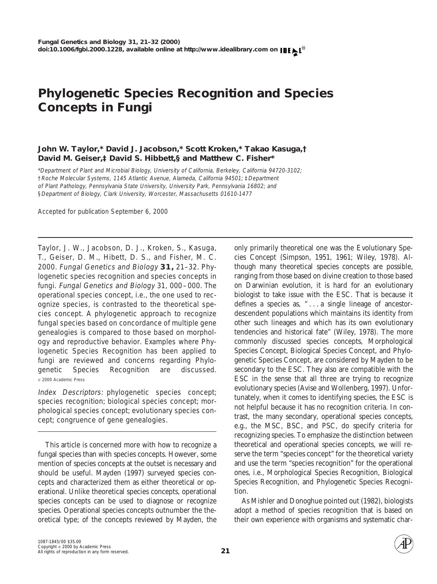# **Phylogenetic Species Recognition and Species Concepts in Fungi**

#### **John W. Taylor,\* David J. Jacobson,\* Scott Kroken,\* Takao Kasuga,† David M. Geiser,‡ David S. Hibbett,§ and Matthew C. Fisher\***

\*Department of Plant and Microbial Biology, University of California, Berkeley, California 94720-3102; †Roche Molecular Systems, 1145 Atlantic Avenue, Alameda, California 94501; ‡Department of Plant Pathology, Pennsylvania State University, University Park, Pennsylvania 16802; and §Department of Biology, Clark University, Worcester, Massachusetts 01610-1477

Accepted for publication September 6, 2000

Taylor, J. W., Jacobson, D. J., Kroken, S., Kasuga, T., Geiser, D. M., Hibett, D. S., and Fisher, M. C. 2000. Fungal Genetics and Biology **31,** 21–32. Phylogenetic species recognition and species concepts in fungi. Fungal Genetics and Biology 31, 000–000. The operational species concept, i.e., the one used to recognize species, is contrasted to the theoretical species concept. A phylogenetic approach to recognize fungal species based on concordance of multiple gene genealogies is compared to those based on morphology and reproductive behavior. Examples where Phylogenetic Species Recognition has been applied to fungi are reviewed and concerns regarding Phylogenetic Species Recognition are discussed. © 2000 Academic Press

Index Descriptors: phylogenetic species concept; species recognition; biological species concept; morphological species concept; evolutionary species concept; congruence of gene genealogies.

This article is concerned more with how to recognize a fungal species than with species concepts. However, some mention of species concepts at the outset is necessary and should be useful. Mayden (1997) surveyed species concepts and characterized them as either theoretical or operational. Unlike theoretical species concepts, operational species concepts can be used to diagnose or recognize species. Operational species concepts outnumber the theoretical type; of the concepts reviewed by Mayden, the

only primarily theoretical one was the Evolutionary Species Concept (Simpson, 1951, 1961; Wiley, 1978). Although many theoretical species concepts are possible, ranging from those based on divine creation to those based on Darwinian evolution, it is hard for an evolutionary biologist to take issue with the ESC. That is because it defines a species as, "...a single lineage of ancestordescendent populations which maintains its identity from other such lineages and which has its own evolutionary tendencies and historical fate" (Wiley, 1978). The more commonly discussed species concepts, Morphological Species Concept, Biological Species Concept, and Phylogenetic Species Concept, are considered by Mayden to be secondary to the ESC. They also are compatible with the ESC in the sense that all three are trying to recognize evolutionary species (Avise and Wollenberg, 1997). Unfortunately, when it comes to identifying species, the ESC is not helpful because it has no recognition criteria. In contrast, the many secondary, operational species concepts, e.g., the MSC, BSC, and PSC, do specify criteria for recognizing species. To emphasize the distinction between theoretical and operational species concepts, we will reserve the term "species concept" for the theoretical variety and use the term "species recognition" for the operational ones, i.e., Morphological Species Recognition, Biological Species Recognition, and Phylogenetic Species Recognition.

As Mishler and Donoghue pointed out (1982), biologists adopt a method of species recognition that is based on their own experience with organisms and systematic char-

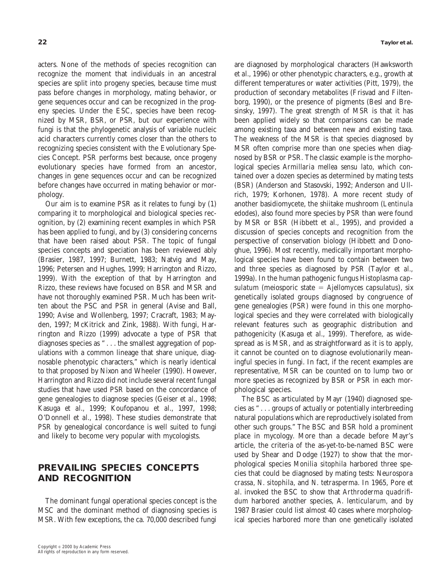acters. None of the methods of species recognition can recognize the moment that individuals in an ancestral species are split into progeny species, because time must pass before changes in morphology, mating behavior, or gene sequences occur and can be recognized in the progeny species. Under the ESC, species have been recognized by MSR, BSR, or PSR, but our experience with fungi is that the phylogenetic analysis of variable nucleic acid characters currently comes closer than the others to recognizing species consistent with the Evolutionary Species Concept. PSR performs best because, once progeny evolutionary species have formed from an ancestor, changes in gene sequences occur and can be recognized before changes have occurred in mating behavior or morphology.

Our aim is to examine PSR as it relates to fungi by (1) comparing it to morphological and biological species recognition, by (2) examining recent examples in which PSR has been applied to fungi, and by (3) considering concerns that have been raised about PSR. The topic of fungal species concepts and speciation has been reviewed ably (Brasier, 1987, 1997; Burnett, 1983; Natvig and May, 1996; Petersen and Hughes, 1999; Harrington and Rizzo, 1999). With the exception of that by Harrington and Rizzo, these reviews have focused on BSR and MSR and have not thoroughly examined PSR. Much has been written about the PSC and PSR in general (Avise and Ball, 1990; Avise and Wollenberg, 1997; Cracraft, 1983; Mayden, 1997; McKitrick and Zink, 1988). With fungi, Harrington and Rizzo (1999) advocate a type of PSR that diagnoses species as " . . . the smallest aggregation of populations with a common lineage that share unique, diagnosable phenotypic characters," which is nearly identical to that proposed by Nixon and Wheeler (1990). However, Harrington and Rizzo did not include several recent fungal studies that have used PSR based on the concordance of gene genealogies to diagnose species (Geiser *et al.,* 1998; Kasuga *et al.,* 1999; Koufopanou *et al.,* 1997, 1998; O'Donnell *et al.,* 1998). These studies demonstrate that PSR by genealogical concordance is well suited to fungi and likely to become very popular with mycologists.

## **PREVAILING SPECIES CONCEPTS AND RECOGNITION**

The dominant fungal operational species concept is the MSC and the dominant method of diagnosing species is MSR. With few exceptions, the ca. 70,000 described fungi are diagnosed by morphological characters (Hawksworth *et al.,* 1996) or other phenotypic characters, e.g., growth at different temperatures or water activities (Pitt, 1979), the production of secondary metabolites (Frisvad and Filtenborg, 1990), or the presence of pigments (Besl and Bresinsky, 1997). The great strength of MSR is that it has been applied widely so that comparisons can be made among existing taxa and between new and existing taxa. The weakness of the MSR is that species diagnosed by MSR often comprise more than one species when diagnosed by BSR or PSR. The classic example is the morphological species *Armillaria mellea sensu lato,* which contained over a dozen species as determined by mating tests (BSR) (Anderson and Stasovski, 1992; Anderson and Ullrich, 1979; Korhonen, 1978). A more recent study of another basidiomycete, the shiitake mushroom (*Lentinula edodes*), also found more species by PSR than were found by MSR or BSR (Hibbett *et al.,* 1995), and provided a discussion of species concepts and recognition from the perspective of conservation biology (Hibbett and Donoghue, 1996). Most recently, medically important morphological species have been found to contain between two and three species as diagnosed by PSR (Taylor *et al.,* 1999a). In the human pathogenic fungus *Histoplasma capsulatum* (meiosporic state = *Ajellomyces capsulatus*), six genetically isolated groups diagnosed by congruence of gene genealogies (PSR) were found in this one morphological species and they were correlated with biologically relevant features such as geographic distribution and pathogenicity (Kasuga *et al.,* 1999). Therefore, as widespread as is MSR, and as straightforward as it is to apply, it cannot be counted on to diagnose evolutionarily meaningful species in fungi. In fact, if the recent examples are representative, MSR can be counted on to lump two or more species as recognized by BSR or PSR in each morphological species.

The BSC as articulated by Mayr (1940) diagnosed species as "... groups of actually or potentially interbreeding natural populations which are reproductively isolated from other such groups." The BSC and BSR hold a prominent place in mycology. More than a decade before Mayr's article, the criteria of the as-yet-to-be-named BSC were used by Shear and Dodge (1927) to show that the morphological species *Monilia sitophila* harbored three species that could be diagnosed by mating tests: *Neurospora crassa, N. sitophila,* and *N. tetrasperma.* In 1965, Pore *et al.* invoked the BSC to show that *Arthroderma quadrifidum* harbored another species, *A. lenticularum,* and by 1987 Brasier could list almost 40 cases where morphological species harbored more than one genetically isolated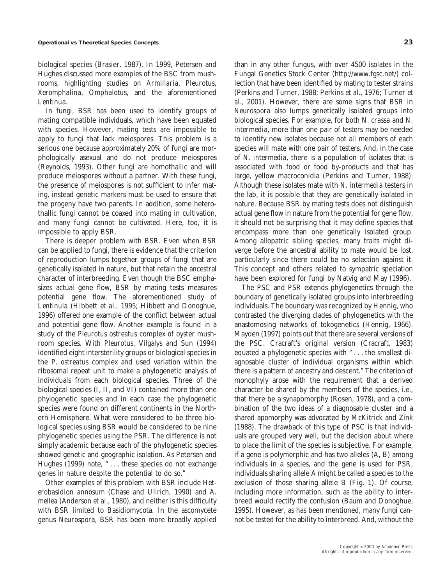biological species (Brasier, 1987). In 1999, Petersen and Hughes discussed more examples of the BSC from mushrooms, highlighting studies on *Armillaria, Pleurotus, Xeromphalina, Omphalotus,* and the aforementioned *Lentinua.*

In fungi, BSR has been used to identify groups of mating compatible individuals, which have been equated with species. However, mating tests are impossible to apply to fungi that lack meiospores. This problem is a serious one because approximately 20% of fungi are morphologically asexual and do not produce meiospores (Reynolds, 1993). Other fungi are homothallic and will produce meiospores without a partner. With these fungi, the presence of meiospores is not sufficient to infer mating, instead genetic markers must be used to ensure that the progeny have two parents. In addition, some heterothallic fungi cannot be coaxed into mating in cultivation, and many fungi cannot be cultivated. Here, too, it is impossible to apply BSR.

There is deeper problem with BSR. Even when BSR can be applied to fungi, there is evidence that the criterion of reproduction lumps together groups of fungi that are genetically isolated in nature, but that retain the ancestral character of interbreeding. Even though the BSC emphasizes actual gene flow, BSR by mating tests measures potential gene flow. The aforementioned study of *Lentinula* (Hibbett *et al.,* 1995; Hibbett and Donoghue, 1996) offered one example of the conflict between actual and potential gene flow. Another example is found in a study of the *Pleurotus ostreatus* complex of oyster mushroom species. With *Pleurotus,* Vilgalys and Sun (1994) identified eight intersterility groups or biological species in the *P. ostreatus* complex and used variation within the ribosomal repeat unit to make a phylogenetic analysis of individuals from each biological species. Three of the biological species (I, II, and VI) contained more than one phylogenetic species and in each case the phylogenetic species were found on different continents in the Northern Hemisphere. What were considered to be three biological species using BSR would be considered to be nine phylogenetic species using the PSR. The difference is not simply academic because each of the phylogenetic species showed genetic and geographic isolation. As Petersen and Hughes (1999) note, "... these species do not exchange genes in nature despite the potential to do so."

Other examples of this problem with BSR include *Heterobasidion annosum* (Chase and Ullrich, 1990) and *A. mellea* (Anderson *et al.,* 1980), and neither is this difficulty with BSR limited to Basidiomycota. In the ascomycete genus *Neurospora,* BSR has been more broadly applied

than in any other fungus, with over 4500 isolates in the Fungal Genetics Stock Center (http://www.fgsc.net/) collection that have been identified by mating to tester strains (Perkins and Turner, 1988; Perkins *et al.,* 1976; Turner *et al.,* 2001). However, there are some signs that BSR in *Neurospora* also lumps genetically isolated groups into biological species. For example, for both *N. crassa* and *N. intermedia,* more than one pair of testers may be needed to identify new isolates because not all members of each species will mate with one pair of testers. And, in the case of *N. intermedia,* there is a population of isolates that is associated with food or food by-products and that has large, yellow macroconidia (Perkins and Turner, 1988). Although these isolates mate with *N. intermedia* testers in the lab, it is possible that they are genetically isolated in nature. Because BSR by mating tests does not distinguish actual gene flow in nature from the potential for gene flow, it should not be surprising that it may define species that encompass more than one genetically isolated group. Among allopatric sibling species, many traits might diverge before the ancestral ability to mate would be lost, particularly since there could be no selection against it. This concept and others related to sympatric speciation have been explored for fungi by Natvig and May (1996).

The PSC and PSR extends phylogenetics through the boundary of genetically isolated groups into interbreeding individuals. The boundary was recognized by Hennig, who contrasted the diverging clades of phylogenetics with the anastomosing networks of tokogenetics (Hennig, 1966). Mayden (1997) points out that there are several versions of the PSC. Cracraft's original version (Cracraft, 1983) equated a phylogenetic species with " . . . the smallest diagnosable cluster of individual organisms within which there is a pattern of ancestry and descent." The criterion of monophyly arose with the requirement that a derived character be shared by the members of the species, i.e., that there be a synapomorphy (Rosen, 1978), and a combination of the two ideas of a diagnosable cluster and a shared apomorphy was advocated by McKitrick and Zink (1988). The drawback of this type of PSC is that individuals are grouped very well, but the decision about where to place the limit of the species is subjective. For example, if a gene is polymorphic and has two alleles (A, B) among individuals in a species, and the gene is used for PSR, individuals sharing allele A might be called a species to the exclusion of those sharing allele B (Fig. 1). Of course, including more information, such as the ability to interbreed would rectify the confusion (Baum and Donoghue, 1995). However, as has been mentioned, many fungi cannot be tested for the ability to interbreed. And, without the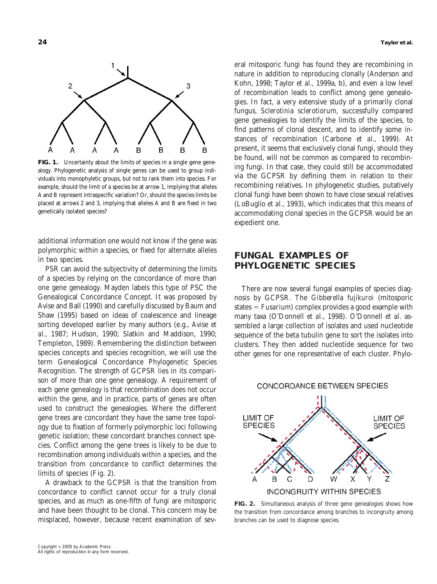

FIG. 1. Uncertainty about the limits of species in a single gene genealogy. Phylogenetic analysis of single genes can be used to group individuals into monophyletic groups, but not to rank them into species. For example, should the limit of a species be at arrow 1, implying that alleles A and B represent intraspecific variation? Or, should the species limits be placed at arrows 2 and 3, implying that alleles A and B are fixed in two genetically isolated species?

additional information one would not know if the gene was polymorphic within a species, or fixed for alternate alleles in two species.

PSR can avoid the subjectivity of determining the limits of a species by relying on the concordance of more than one gene genealogy. Mayden labels this type of PSC the Genealogical Concordance Concept. It was proposed by Avise and Ball (1990) and carefully discussed by Baum and Shaw (1995) based on ideas of coalescence and lineage sorting developed earlier by many authors (e.g., Avise *et al.,* 1987; Hudson, 1990; Slatkin and Maddison, 1990; Templeton, 1989). Remembering the distinction between species concepts and species recognition, we will use the term Genealogical Concordance Phylogenetic Species Recognition. The strength of GCPSR lies in its comparison of more than one gene genealogy. A requirement of each gene genealogy is that recombination does not occur within the gene, and in practice, parts of genes are often used to construct the genealogies. Where the different gene trees are concordant they have the same tree topology due to fixation of formerly polymorphic loci following genetic isolation; these concordant branches connect species. Conflict among the gene trees is likely to be due to recombination among individuals within a species, and the transition from concordance to conflict determines the limits of species (Fig. 2).

A drawback to the GCPSR is that the transition from concordance to conflict cannot occur for a truly clonal species, and as much as one-fifth of fungi are mitosporic and have been thought to be clonal. This concern may be misplaced, however, because recent examination of several mitosporic fungi has found they are recombining in nature in addition to reproducing clonally (Anderson and Kohn, 1998; Taylor *et al.,* 1999a, b), and even a low level of recombination leads to conflict among gene genealogies. In fact, a very extensive study of a primarily clonal fungus, *Sclerotinia sclerotiorum,* successfully compared gene genealogies to identify the limits of the species, to find patterns of clonal descent, and to identify some instances of recombination (Carbone *et al.,* 1999). At present, it seems that exclusively clonal fungi, should they be found, will not be common as compared to recombining fungi. In that case, they could still be accommodated via the GCPSR by defining them in relation to their recombining relatives. In phylogenetic studies, putatively clonal fungi have been shown to have close sexual relatives (LoBuglio *et al.,* 1993), which indicates that this means of accommodating clonal species in the GCPSR would be an expedient one.

## **FUNGAL EXAMPLES OF PHYLOGENETIC SPECIES**

There are now several fungal examples of species diagnosis by GCPSR. The *Gibberella fujikuroi* (mitosporic states = *Fusarium*) complex provides a good example with many taxa (O'Donnell *et al.,* 1998). O'Donnell *et al.* assembled a large collection of isolates and used nucleotide sequence of the beta tubulin gene to sort the isolates into clusters. They then added nucleotide sequence for two other genes for one representative of each cluster. Phylo-



CONCORDANCE BETWEEN SPECIES

**FIG. 2.** Simultaneous analysis of three gene genealogies shows how the transition from concordance among branches to incongruity among branches can be used to diagnose species.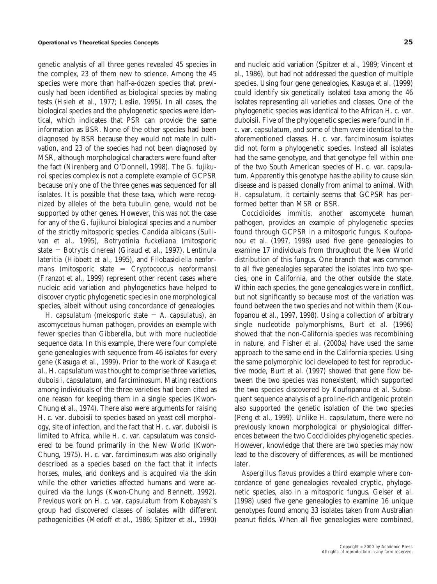genetic analysis of all three genes revealed 45 species in the complex, 23 of them new to science. Among the 45 species were more than half-a-dozen species that previously had been identified as biological species by mating tests (Hsieh *et al.,* 1977; Leslie, 1995). In all cases, the biological species and the phylogenetic species were identical, which indicates that PSR can provide the same information as BSR. None of the other species had been diagnosed by BSR because they would not mate in cultivation, and 23 of the species had not been diagnosed by MSR, although morphological characters were found after the fact (Nirenberg and O'Donnell, 1998). The *G. fujikuroi* species complex is not a complete example of GCPSR because only one of the three genes was sequenced for all isolates. It is possible that these taxa, which were recognized by alleles of the beta tubulin gene, would not be supported by other genes. However, this was not the case for any of the *G. fujikuroi* biological species and a number of the strictly mitosporic species. *Candida albicans* (Sullivan *et al.,* 1995), *Botryotinia fuckeliana* (mitosporic state 5 *Botrytis cinerea*) (Giraud *et al.,* 1997), *Lentinula lateritia* (Hibbett *et al.,* 1995), and *Filobasidiella neoformans* (mitosporic state = *Cryptococcus neoformans*) (Franzot *et al.,* 1999) represent other recent cases where nucleic acid variation and phylogenetics have helped to discover cryptic phylogenetic species in one morphological species, albeit without using concordance of genealogies.

*H. capsulatum* (meiosporic state  $= A$ . *capsulatus*), an ascomycetous human pathogen, provides an example with fewer species than *Gibberella,* but with more nucleotide sequence data. In this example, there were four complete gene genealogies with sequence from 46 isolates for every gene (Kasuga *et al.,* 1999). Prior to the work of Kasuga *et al., H. capsulatum* was thought to comprise three varieties, *duboisii, capsulatum,* and *farciminosum.* Mating reactions among individuals of the three varieties had been cited as one reason for keeping them in a single species (Kwon-Chung *et al.,* 1974). There also were arguments for raising *H. c.* var. *duboisii* to species based on yeast cell morphology, site of infection, and the fact that *H. c.* var. *duboisii* is limited to Africa, while *H. c.* var. *capsulatum* was considered to be found primarily in the New World (Kwon-Chung, 1975). *H. c.* var. *farciminosum* was also originally described as a species based on the fact that it infects horses, mules, and donkeys and is acquired via the skin while the other varieties affected humans and were acquired via the lungs (Kwon-Chung and Bennett, 1992). Previous work on *H. c.* var. *capsulatum* from Kobayashi's group had discovered classes of isolates with different pathogenicities (Medoff *et al.,* 1986; Spitzer *et al.,* 1990)

and nucleic acid variation (Spitzer *et al.,* 1989; Vincent *et al.,* 1986), but had not addressed the question of multiple species. Using four gene genealogies, Kasuga *et al.* (1999) could identify six genetically isolated taxa among the 46 isolates representing all varieties and classes. One of the phylogenetic species was identical to the African *H. c.* var. *duboisii.* Five of the phylogenetic species were found in *H. c.* var. *capsulatum,* and some of them were identical to the aforementioned classes. *H. c.* var. *farciminosum* isolates did not form a phylogenetic species. Instead all isolates had the same genotype, and that genotype fell within one of the two South American species of *H. c.* var. *capsulatum.* Apparently this genotype has the ability to cause skin disease and is passed clonally from animal to animal. With *H. capsulatum,* it certainly seems that GCPSR has performed better than MSR or BSR.

*Coccidioides immitis,* another ascomycete human pathogen, provides an example of phylogenetic species found through GCPSR in a mitosporic fungus. Koufopanou *et al.* (1997, 1998) used five gene genealogies to examine 17 individuals from throughout the New World distribution of this fungus. One branch that was common to all five genealogies separated the isolates into two species, one in California, and the other outside the state. Within each species, the gene genealogies were in conflict, but not significantly so because most of the variation was found between the two species and not within them (Koufopanou *et al.,* 1997, 1998). Using a collection of arbitrary single nucleotide polymorphisms, Burt *et al.* (1996) showed that the non-California species was recombining in nature, and Fisher *et al.* (2000a) have used the same approach to the same end in the California species. Using the same polymorphic loci developed to test for reproductive mode, Burt *et al.* (1997) showed that gene flow between the two species was nonexistent, which supported the two species discovered by Koufopanou *et al.* Subsequent sequence analysis of a proline-rich antigenic protein also supported the genetic isolation of the two species (Peng *et al.,* 1999). Unlike *H. capsulatum,* there were no previously known morphological or physiological differences between the two *Coccidioides* phylogenetic species. However, knowledge that there are two species may now lead to the discovery of differences, as will be mentioned later.

*Aspergillus flavus* provides a third example where concordance of gene genealogies revealed cryptic, phylogenetic species, also in a mitosporic fungus. Geiser *et al.* (1998) used five gene genealogies to examine 16 unique genotypes found among 33 isolates taken from Australian peanut fields. When all five genealogies were combined,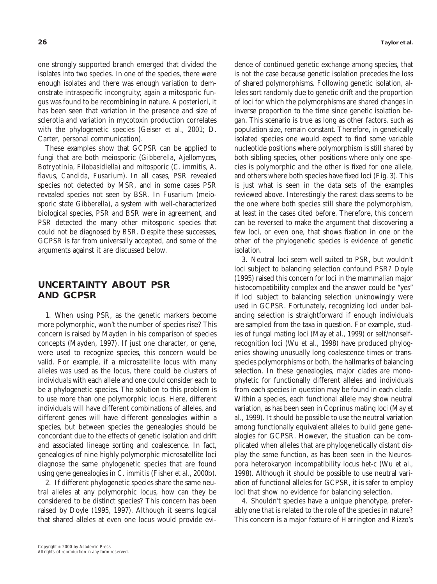one strongly supported branch emerged that divided the isolates into two species. In one of the species, there were enough isolates and there was enough variation to demonstrate intraspecific incongruity; again a mitosporic fungus was found to be recombining in nature. *A posteriori,* it has been seen that variation in the presence and size of sclerotia and variation in mycotoxin production correlates with the phylogenetic species (Geiser *et al.,* 2001; D. Carter, personal communication).

These examples show that GCPSR can be applied to fungi that are both meiosporic (*Gibberella, Ajellomyces, Botryotinia, Filobasidiella*) and mitosporic (*C. immitis, A. flavus, Candida, Fusarium*). In all cases, PSR revealed species not detected by MSR, and in some cases PSR revealed species not seen by BSR. In *Fusarium* (meiosporic state *Gibberella*), a system with well-characterized biological species, PSR and BSR were in agreement, and PSR detected the many other mitosporic species that could not be diagnosed by BSR. Despite these successes, GCPSR is far from universally accepted, and some of the arguments against it are discussed below.

### **UNCERTAINTY ABOUT PSR AND GCPSR**

1. When using PSR, as the genetic markers become more polymorphic, won't the number of species rise? This concern is raised by Mayden in his comparison of species concepts (Mayden, 1997). If just one character, or gene, were used to recognize species, this concern would be valid. For example, if a microsatellite locus with many alleles was used as the locus, there could be clusters of individuals with each allele and one could consider each to be a phylogenetic species. The solution to this problem is to use more than one polymorphic locus. Here, different individuals will have different combinations of alleles, and different genes will have different genealogies within a species, but between species the genealogies should be concordant due to the effects of genetic isolation and drift and associated lineage sorting and coalescence. In fact, genealogies of nine highly polymorphic microsatellite loci diagnose the same phylogenetic species that are found using gene genealogies in *C. immitis* (Fisher *et al.,* 2000b).

2. If different phylogenetic species share the same neutral alleles at any polymorphic locus, how can they be considered to be distinct species? This concern has been raised by Doyle (1995, 1997). Although it seems logical that shared alleles at even one locus would provide evi-

dence of continued genetic exchange among species, that is not the case because genetic isolation precedes the loss of shared polymorphisms. Following genetic isolation, alleles sort randomly due to genetic drift and the proportion of loci for which the polymorphisms are shared changes in inverse proportion to the time since genetic isolation began. This scenario is true as long as other factors, such as population size, remain constant. Therefore, in genetically isolated species one would expect to find some variable nucleotide positions where polymorphism is still shared by both sibling species, other positions where only one species is polymorphic and the other is fixed for one allele, and others where both species have fixed loci (Fig. 3). This is just what is seen in the data sets of the examples reviewed above. Interestingly the rarest class seems to be the one where both species still share the polymorphism, at least in the cases cited before. Therefore, this concern can be reversed to make the argument that discovering a few loci, or even one, that shows fixation in one or the other of the phylogenetic species is evidence of genetic isolation.

3. Neutral loci seem well suited to PSR, but wouldn't loci subject to balancing selection confound PSR? Doyle (1995) raised this concern for loci in the mammalian major histocompatibility complex and the answer could be "yes" if loci subject to balancing selection unknowingly were used in GCPSR. Fortunately, recognizing loci under balancing selection is straightforward if enough individuals are sampled from the taxa in question. For example, studies of fungal mating loci (May *et al.,* 1999) or self/nonselfrecognition loci (Wu *et al.,* 1998) have produced phylogenies showing unusually long coalescence times or transspecies polymorphisms or both, the hallmarks of balancing selection. In these genealogies, major clades are monophyletic for functionally different alleles and individuals from each species in question may be found in each clade. Within a species, each functional allele may show neutral variation, as has been seen in *Coprinus* mating loci (May *et al.,* 1999). It should be possible to use the neutral variation among functionally equivalent alleles to build gene genealogies for GCPSR. However, the situation can be complicated when alleles that are phylogenetically distant display the same function, as has been seen in the *Neurospora* heterokaryon incompatibility locus *het-c* (Wu *et al.,* 1998). Although it should be possible to use neutral variation of functional alleles for GCPSR, it is safer to employ loci that show no evidence for balancing selection.

4. Shouldn't species have a unique phenotype, preferably one that is related to the role of the species in nature? This concern is a major feature of Harrington and Rizzo's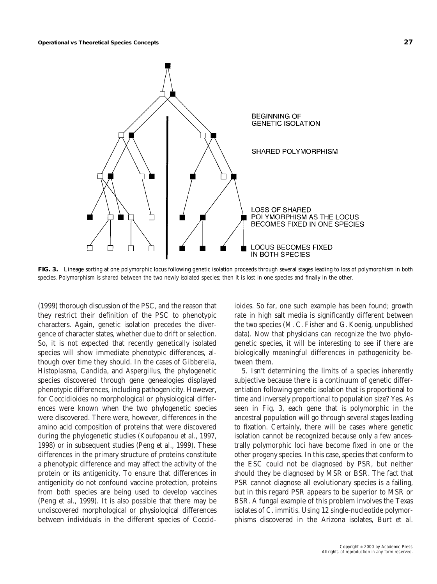

**FIG. 3.** Lineage sorting at one polymorphic locus following genetic isolation proceeds through several stages leading to loss of polymorphism in both species. Polymorphism is shared between the two newly isolated species; then it is lost in one species and finally in the other.

(1999) thorough discussion of the PSC, and the reason that they restrict their definition of the PSC to phenotypic characters. Again, genetic isolation precedes the divergence of character states, whether due to drift or selection. So, it is not expected that recently genetically isolated species will show immediate phenotypic differences, although over time they should. In the cases of *Gibberella, Histoplasma, Candida,* and *Aspergillus,* the phylogenetic species discovered through gene genealogies displayed phenotypic differences, including pathogenicity. However, for *Coccidioides* no morphological or physiological differences were known when the two phylogenetic species were discovered. There were, however, differences in the amino acid composition of proteins that were discovered during the phylogenetic studies (Koufopanou *et al.,* 1997, 1998) or in subsequent studies (Peng *et al.,* 1999). These differences in the primary structure of proteins constitute a phenotypic difference and may affect the activity of the protein or its antigenicity. To ensure that differences in antigenicity do not confound vaccine protection, proteins from both species are being used to develop vaccines (Peng *et al.,* 1999). It is also possible that there may be undiscovered morphological or physiological differences between individuals in the different species of *Coccid-*

*ioides.* So far, one such example has been found; growth rate in high salt media is significantly different between the two species (M. C. Fisher and G. Koenig, unpublished data). Now that physicians can recognize the two phylogenetic species, it will be interesting to see if there are biologically meaningful differences in pathogenicity between them.

5. Isn't determining the limits of a species inherently subjective because there is a continuum of genetic differentiation following genetic isolation that is proportional to time and inversely proportional to population size? Yes. As seen in Fig. 3, each gene that is polymorphic in the ancestral population will go through several stages leading to fixation. Certainly, there will be cases where genetic isolation cannot be recognized because only a few ancestrally polymorphic loci have become fixed in one or the other progeny species. In this case, species that conform to the ESC could not be diagnosed by PSR, but neither should they be diagnosed by MSR or BSR. The fact that PSR cannot diagnose all evolutionary species is a failing, but in this regard PSR appears to be superior to MSR or BSR. A fungal example of this problem involves the Texas isolates of *C. immitis.* Using 12 single-nucleotide polymorphisms discovered in the Arizona isolates, Burt *et al.*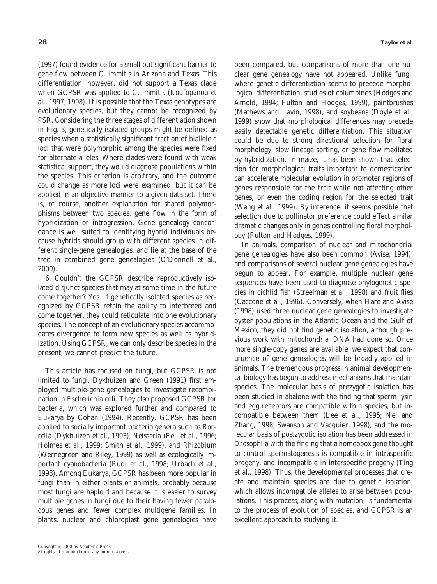(1997) found evidence for a small but significant barrier to gene flow between *C. immitis* in Arizona and Texas. This differentiation, however, did not support a Texas clade when GCPSR was applied to *C. immitis* (Koufopanou *et al.,* 1997, 1998). It is possible that the Texas genotypes are evolutionary species, but they cannot be recognized by PSR. Considering the three stages of differentiation shown in Fig. 3, genetically isolated groups might be defined as species when a statistically significant fraction of bialleleic loci that were polymorphic among the species were fixed for alternate alleles. Where clades were found with weak statistical support, they would diagnose populations within the species. This criterion is arbitrary, and the outcome could change as more loci were examined, but it can be applied in an objective manner to a given data set. There is, of course, another explanation for shared polymorphisms between two species, gene flow in the form of hybridization or introgression. Gene genealogy concordance is well suited to identifying hybrid individuals because hybrids should group with different species in different single-gene genealogies, and lie at the base of the tree in combined gene genealogies (O'Donnell *et al.,* 2000).

6. Couldn't the GCPSR describe reproductively isolated disjunct species that may at some time in the future come together? Yes. If genetically isolated species as recognized by GCPSR retain the ability to interbreed and come together, they could reticulate into one evolutionary species. The concept of an evolutionary species accommodates divergence to form new species as well as hybridization. Using GCPSR, we can only describe species in the present; we cannot predict the future.

This article has focused on fungi, but GCPSR is not limited to fungi. Dykhuizen and Green (1991) first employed multiple-gene genealogies to investigate recombination in *Escherichia coli.* They also proposed GCPSR for bacteria, which was explored further and compared to Eukarya by Cohan (1994). Recently, GCPSR has been applied to socially important bacteria genera such as *Borrelia* (Dykhuizen *et al.,* 1993), *Neisseria* (Feil *et al.,* 1996; Holmes *et al.,* 1999; Smith *et al.,* 1999), and *Rhizobium* (Wernegreen and Riley, 1999) as well as ecologically important cyanobacteria (Rudi *et al.,* 1998; Urbach *et al.,* 1998). Among Eukarya, GCPSR has been more popular in fungi than in either plants or animals, probably because most fungi are haploid and because it is easier to survey multiple genes in fungi due to their having fewer paralogous genes and fewer complex multigene families. In plants, nuclear and chloroplast gene genealogies have

been compared, but comparisons of more than one nuclear gene genealogy have not appeared. Unlike fungi, where genetic differentiation seems to precede morphological differentiation, studies of columbines (Hodges and Arnold, 1994; Fulton and Hodges, 1999), paintbrushes (Mathews and Lavin, 1998), and soybeans (Doyle *et al.,* 1999) show that morphological differences may precede easily detectable genetic differentiation. This situation could be due to strong directional selection for floral morphology, slow lineage sorting, or gene flow mediated by hybridization. In maize, it has been shown that selection for morphological traits important to domestication can accelerate molecular evolution in promoter regions of genes responsible for the trait while not affecting other genes, or even the coding region for the selected trait (Wang *et al.,* 1999). By inference, it seems possible that selection due to pollinator preference could effect similar dramatic changes only in genes controlling floral morphology (Fulton and Hodges, 1999).

In animals, comparison of nuclear and mitochondrial gene genealogies have also been common (Avise, 1994), and comparisons of several nuclear gene genealogies have begun to appear. For example, multiple nuclear gene sequences have been used to diagnose phylogenetic species in cichlid fish (Streelman *et al.,* 1998) and fruit flies (Caccone *et al.,* 1996). Conversely, when Hare and Avise (1998) used three nuclear gene genealogies to investigate oyster populations in the Atlantic Ocean and the Gulf of Mexico, they did not find genetic isolation, although previous work with mitochondrial DNA had done so. Once more single-copy genes are available, we expect that congruence of gene genealogies will be broadly applied in animals. The tremendous progress in animal developmental biology has begun to address mechanisms that maintain species. The molecular basis of prezygotic isolation has been studied in abalone with the finding that sperm lysin and egg receptors are compatible within species, but incompatible between them (Lee *et al.,* 1995; Nei and Zhang, 1998; Swanson and Vacquier, 1998), and the molecular basis of postzygotic isolation has been addressed in *Drosophila* with the finding that a homeobox gene thought to control spermatogenesis is compatible in intraspecific progeny, and incompatible in interspecific progeny (Ting *et al.,* 1998). Thus, the developmental processes that create and maintain species are due to genetic isolation, which allows incompatible alleles to arise between populations. This process, along with mutation, is fundamental to the process of evolution of species, and GCPSR is an excellent approach to studying it.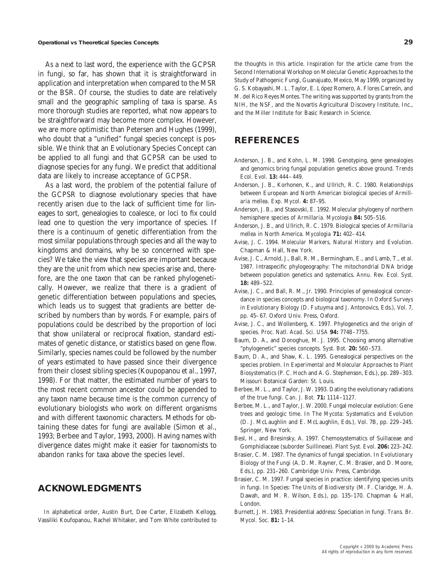As a next to last word, the experience with the GCPSR in fungi, so far, has shown that it is straightforward in application and interpretation when compared to the MSR or the BSR. Of course, the studies to date are relatively small and the geographic sampling of taxa is sparse. As more thorough studies are reported, what now appears to be straightforward may become more complex. However, we are more optimistic than Petersen and Hughes (1999), who doubt that a "unified" fungal species concept is possible. We think that an Evolutionary Species Concept can be applied to all fungi and that GCPSR can be used to diagnose species for any fungi. We predict that additional data are likely to increase acceptance of GCPSR.

As a last word, the problem of the potential failure of the GCPSR to diagnose evolutionary species that have recently arisen due to the lack of sufficient time for lineages to sort, genealogies to coalesce, or loci to fix could lead one to question the very importance of species. If there is a continuum of genetic differentiation from the most similar populations through species and all the way to kingdoms and domains, why be so concerned with species? We take the view that species are important because they are the unit from which new species arise and, therefore, are the one taxon that can be ranked phylogenetically. However, we realize that there is a gradient of genetic differentiation between populations and species, which leads us to suggest that gradients are better described by numbers than by words. For example, pairs of populations could be described by the proportion of loci that show unilateral or reciprocal fixation, standard estimates of genetic distance, or statistics based on gene flow. Similarly, species names could be followed by the number of years estimated to have passed since their divergence from their closest sibling species (Koupopanou *et al.,* 1997, 1998). For that matter, the estimated number of years to the most recent common ancestor could be appended to any taxon name because time is the common currency of evolutionary biologists who work on different organisms and with different taxonomic characters. Methods for obtaining these dates for fungi are available (Simon *et al.,* 1993; Berbee and Taylor, 1993, 2000). Having names with divergence dates might make it easier for taxonomists to abandon ranks for taxa above the species level.

## **ACKNOWLEDGMENTS**

In alphabetical order, Austin Burt, Dee Carter, Elizabeth Kellogg, Vassiliki Koufopanou, Rachel Whitaker, and Tom White contributed to

the thoughts in this article. Inspiration for the article came from the Second International Workshop on Molecular Genetic Approaches to the Study of Pathogenic Fungi, Guanajuato, Mexico, May 1999, organized by G. S. Kobayashi, M. L. Taylor, E. López Romero, A. Flores Carreón, and M. del Rico Reyes Montes. The writing was supported by grants from the NIH, the NSF, and the Novartis Agricultural Discovery Institute, Inc., and the Miller Institute for Basic Research in Science.

#### **REFERENCES**

- Anderson, J. B., and Kohn, L. M. 1998. Genotyping, gene genealogies and genomics bring fungal population genetics above ground. *Trends Ecol. Evol.* **13:** 444–449.
- Anderson, J. B., Korhonen, K., and Ullrich, R. C. 1980. Relationships between European and North American biological species of *Armillaria mellea. Exp. Mycol.* **4:** 87–95.
- Anderson, J. B., and Stasovski, E. 1992. Molecular phylogeny of northern hemisphere species of *Armillaria. Mycologia* **84:** 505–516.
- Anderson, J. B., and Ullrich, R. C. 1979. Biological species of *Armillaria mellea* in North America. *Mycologia* **71:** 402–414.
- Avise, J. C. 1994. *Molecular Markers, Natural History and Evolution.* Chapman & Hall, New York.
- Avise, J. C., Arnold, J., Ball, R. M., Bermingham, E., and Lamb, T., *et al.* 1987. Intraspecific phylogeography: The mitochondrial DNA bridge between population genetics and systematics. *Annu. Rev. Ecol. Syst.* **18:** 489–522.
- Avise, J. C., and Ball, R. M., Jr. 1990. Principles of genealogical concordance in species concepts and biological taxonomy. In *Oxford Surveys in Evolutionary Biology* (D. Futuyma and J. Antonovics, Eds.), Vol. 7, pp. 45–67. Oxford Univ. Press, Oxford.
- Avise, J. C., and Wollenberg, K. 1997. Phylogenetics and the origin of species. *Proc. Natl. Acad. Sci. USA* **94:** 7748–7755.
- Baum, D. A., and Donoghue, M. J. 1995. Choosing among alternative "phylogenetic" species concepts. *Syst. Bot.* **20:** 560–573.
- Baum, D. A., and Shaw, K. L. 1995. Genealogical perspectives on the species problem. In *Experimental and Molecular Approaches to Plant Biosystematics* (P. C. Hoch and A. G. Stephenson, Eds.), pp. 289–303. Missouri Botanical Garden: St. Louis.
- Berbee, M. L., and Taylor, J. W. 1993. Dating the evolutionary radiations of the true fungi. *Can. J. Bot.* **71:** 1114–1127.
- Berbee, M. L., and Taylor, J. W. 2000. Fungal molecular evolution: Gene trees and geologic time. In *The Mycota: Systematics and Evolution* (D. J. McLaughlin and E. McLaughlin, Eds.), Vol. 7B, pp. 229–245. Springer, New York.
- Besl, H., and Bresinsky, A. 1997. Chemosystematics of Suillaceae and Gomphidiaceae (suborder Suillineae). *Plant Syst. Evol.* **206:** 223–242.
- Brasier, C. M. 1987. The dynamics of fungal speciation. In *Evolutionary Biology of the Fungi* (A. D. M. Rayner, C. M. Brasier, and D. Moore, Eds.), pp. 231–260. Cambridge Univ. Press, Cambridge.
- Brasier, C. M. 1997. Fungal species in practice: identifying species units in fungi. In *Species: The Units of Biodiversity* (M. F. Claridge, H. A. Dawah, and M. R. Wilson, Eds.), pp. 135–170. Chapman & Hall, London.
- Burnett, J. H. 1983. Presidential address: Speciation in fungi. *Trans. Br. Mycol. Soc.* **81:** 1–14.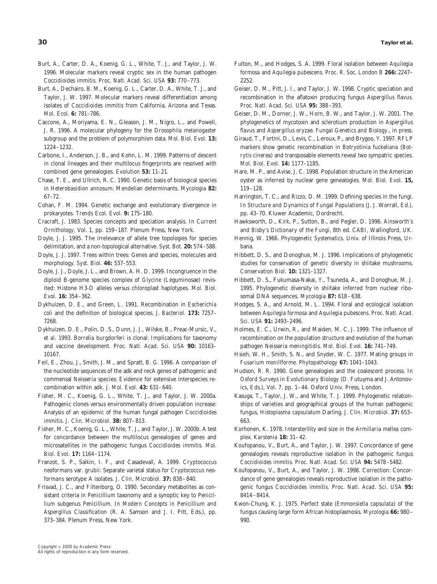- Burt, A., Carter, D. A., Koenig, G. L., White, T. J., and Taylor, J. W. 1996. Molecular markers reveal cryptic sex in the human pathogen *Coccidioides immitis. Proc. Natl. Acad. Sci. USA* **93:** 770–773.
- Burt, A., Dechairo, B. M., Koenig, G. L., Carter, D. A., White, T. J., and Taylor, J. W. 1997. Molecular markers reveal differentiation among isolates of *Coccidioides immitis* from California, Arizona and Texas. *Mol. Ecol.* **6:** 781–786.
- Caccone, A., Moriyama, E. N., Gleason, J. M., Nigro, L., and Powell, J. R. 1996. A molecular phylogeny for the *Drosophila melanogaster* subgroup and the problem of polymorphism data. *Mol. Biol. Evol.* **13:** 1224–1232.
- Carbone, I., Anderson, J. B., and Kohn, L. M. 1999. Patterns of descent in clonal lineages and their multilocus fingerprints are resolved with combined gene genealogies. *Evolution* **53:** 11–21.
- Chase, T. E., and Ullrich, R. C. 1990. Genetic basis of biological species in *Heterobasidion annosum:* Mendelian determinants. *Mycologia* **82:** 67–72.
- Cohan, F. M. 1994. Genetic exchange and evolutionary divergence in prokaryotes. *Trends Ecol. Evol.* **9:** 175–180.
- Cracraft, J. 1983. Species concepts and speciation analysis. In *Current Ornithology,* Vol. 1, pp. 159–187. Plenum Press, New York.
- Doyle, J. J. 1995. The irrelevance of allele tree topologies for species delimitation, and a non-topological alternative. *Syst. Bot.* **20:** 574–588.
- Doyle, J. J. 1997. Trees within trees: Genes and species, molecules and morphology. *Syst. Biol.* **46:** 537–553.
- Doyle, J. J., Doyle, J. L., and Brown, A. H. D. 1999. Incongruence in the diploid B-genome species complex of *Glycine* (Leguminosae) revisited: Histone H3-D alleles versus chloroplast haplotypes. *Mol. Biol. Evol.* **16:** 354–362.
- Dykhuizen, D. E., and Green, L. 1991. Recombination in *Escherichia coli* and the definition of biological species. *J. Bacteriol.* **173:** 7257– 7268.
- Dykhuizen, D. E., Polin, D. S., Dunn, J. J., Wilske, B., Preac-Mursic, V., *et al.* 1993. *Borrelia burgdorferi* is clonal: Implications for taxonomy and vaccine development. *Proc. Natl. Acad. Sci. USA* **90:** 10163– 10167.
- Feil, E., Zhou, J., Smith, J. M., and Spratt, B. G. 1996. A comparison of the nucleotide sequences of the adk and recA genes of pathogenic and commensal *Neisseria* species: Evidence for extensive interspecies recombination within adk. *J. Mol. Evol.* **43:** 631–640.
- Fisher, M. C., Koenig, G. L., White, T. J., and Taylor, J. W. 2000a. Pathogenic clones versus environmentally driven population increase: Analysis of an epidemic of the human fungal pathogen *Coccidioides immitis. J. Clin. Microbiol.* **38:** 807–813.
- Fisher, M. C., Koenig, G. L., White, T. J., and Taylor, J. W. 2000b. A test for concordance between the multilocus genealogies of genes and microsatellites in the pathogenic fungus *Coccidioides immitis. Mol. Biol. Evol.* **17:** 1164–1174.
- Franzot, S. P., Salkin, I. F., and Casadevall, A. 1999. *Cryptococcus neoformans* var. *grubii:* Separate varietal status for *Cryptococcus neoformans* serotype A isolates. *J. Clin. Microbiol.* **37:** 838–840.
- Frisvad, J. C., and Filtenborg, O. 1990. Secondary metabolites as consistant criteria in *Penicillium* taxonomy and a synoptic key to *Penicillium* subgenus *Penicillium.* In *Modern Concepts in Penicillium and Aspergillus Classification* (R. A. Samson and J. I. Pitt, Eds.), pp. 373–384. Plenum Press, New York.
- Fulton, M., and Hodges, S. A. 1999. Floral isolation between *Aquilegia formosa* and *Aquilegia pubescens. Proc. R. Soc. London B* **266:** 2247– 2252.
- Geiser, D. M., Pitt, J. I., and Taylor, J. W. 1998. Cryptic speciation and recombination in the aflatoxin producing fungus *Aspergillus flavus. Proc. Natl. Acad. Sci. USA* **95:** 388–393.
- Geiser, D. M., Dorner, J. W., Horn, B. W., and Taylor, J. W. 2001. The phylogenetics of mycotoxin and sclerotium production in *Aspergillus flavus* and *Aspergillus oryzae. Fungal Genetics and Biology.,* in press.
- Giraud, T., Fortini, D., Levis, C., Leroux, P., and Brygoo, Y. 1997. RFLP markers show genetic recombination in *Botryotinia fuckeliana* (*Botrytis cinerea*) and transposable elements reveal two sympatric species. *Mol. Biol. Evol.* **14:** 1177–1185.
- Hare, M. P., and Avise, J. C. 1998. Population structure in the American oyster as inferred by nuclear gene genealogies. *Mol. Biol. Evol.* **15,** 119–128.
- Harrington, T. C., and Rizzo, D. M. 1999. Defining species in the fungi. In *Structure and Dynamics of Fungal Populations* (J. J. Worrall, Ed.), pp. 43–70. Kluwer Academic, Dordrecht.
- Hawksworth, D., Kirk, P., Sutton, B., and Pegler, D. 1996. *Ainsworth's and Bisby's Dictionary of the Fungi,* 8th ed. CABI, Wallingford, UK.
- Hennig, W. 1966. *Phylogenetic Systematics.* Univ. of Illinois Press, Urbana.
- Hibbett, D. S., and Donoghue, M. J. 1996. Implications of phylogenetic studies for conservation of genetic diversity in shiitake mushrooms. *Conservation Biol.* **10:** 1321–1327.
- Hibbett, D. S., Fukumasa-Nakai, Y., Tsuneda, A., and Donoghue, M. J. 1995. Phylogenetic diversity in shiitake inferred from nuclear ribosomal DNA sequences. *Mycologia* **87:** 618–638.
- Hodges, S. A., and Arnold, M. L. 1994. Floral and ecological isolation between *Aquilegia formosa* and *Aquilegia pubescens. Proc. Natl. Acad. Sci. USA* **91:** 2493–2496.
- Holmes, E. C., Urwin, R., and Maiden, M. C. J. 1999. The influence of recombination on the population structure and evolution of the human pathogen *Neisseria meningitidis. Mol. Biol. Evol.* **16:** 741–749.
- Hsieh, W. H., Smith, S. N., and Snyder, W. C. 1977. Mating groups in *Fusarium monillforme. Phytopathology* **67:** 1041–1043.
- Hudson, R. R. 1990. Gene genealogies and the coalescent process. In *Oxford Surveys in Evolutionary Biology* (D. Futuyma and J. Antonovics, Eds.), Vol. 7, pp. 1–44. Oxford Univ. Press, London.
- Kasuga, T., Taylor, J. W., and White, T. J. 1999. Phylogenetic relationships of varieties and geographical groups of the human pathogenic fungus, *Histoplasma capsulatum* Darling. *J. Clin. Microbiol.* **37:** 653– 663.
- Korhonen, K. 1978. Intersterility and size in the *Armillaria mellea* complex. *Karstenia* **18:** 31–42.
- Koufopanou, V., Burt, A., and Taylor, J. W. 1997. Concordance of gene genealogies reveals reproductive isolation in the pathogenic fungus *Coccidioides immitis. Proc. Natl. Acad. Sci. USA* **94:** 5478–5482.
- Koufopanou, V., Burt, A., and Taylor, J. W. 1998. Correction: Concordance of gene genealogies reveals reproductive isolation in the pathogenic fungus *Coccidioides immitis. Proc. Natl. Acad. Sci. USA* **95:** 8414–8414.
- Kwon-Chung, K. J. 1975. Perfect state (*Emmonsiella capsulata*) of the fungus causing large form African histoplasmosis. *Mycologia* **66:** 980– 990.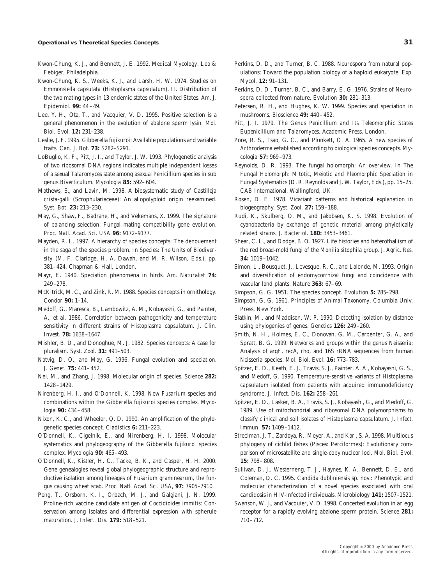- Kwon-Chung, K. J., and Bennett, J. E. 1992. *Medical Mycology.* Lea & Febiger, Philadelphia.
- Kwon-Chung, K. S., Weeks, K. J., and Larsh, H. W. 1974. Studies on *Emmonsiella capsulata* (*Histoplasma capsulatum*). II. Distribution of the two mating types in 13 endemic states of the United States. *Am. J. Epidemiol.* **99:** 44–49.
- Lee, Y. H., Ota, T., and Vacquier, V. D. 1995. Positive selection is a general phenomenon in the evolution of abalone sperm lysin. *Mol. Biol. Evol.* **12:** 231–238.
- Leslie, J. F. 1995. *Gibberella fujikuroi:* Available populations and variable traits. *Can. J. Bot.* **73:** S282–S291.
- LoBuglio, K. F., Pitt, J. I., and Taylor, J. W. 1993. Phylogenetic analysis of two ribosomal DNA regions indicates multiple independent losses of a sexual *Talaromyces* state among asexual *Penicillium* species in sub genus *Biverticulum. Mycologia* **85:** 592–604.
- Mathews, S., and Lavin, M. 1998. A biosystematic study of *Castilleja crista-galli* (Scrophulariaceae): An allopolyploid origin reexamined. *Syst. Bot.* **23:** 213–230.
- May, G., Shaw, F., Badrane, H., and Vekemans, X. 1999. The signature of balancing selection: Fungal mating compatibility gene evolution. *Proc. Natl. Acad. Sci. USA* **96:** 9172–9177.
- Mayden, R. L. 1997. A hierarchy of species concepts: The denouement in the saga of the species problem. In *Species: The Units of Biodiversity* (M. F. Claridge, H. A. Dawah, and M. R. Wilson, Eds.), pp. 381–424. Chapman & Hall, London.
- Mayr, E. 1940. Speciation phenomena in birds. *Am. Naturalist* **74:** 249–278.
- McKitrick, M. C., and Zink, R. M. 1988. Species concepts in ornithology. *Condor* **90:** 1–14.
- Medoff, G., Maresca, B., Lambowitz, A. M., Kobayashi, G., and Painter, A., *et al.* 1986. Correlation between pathogenicity and temperature sensitivity in different strains of *Histoplasma capsulatum. J. Clin. Invest.* **78:** 1638–1647.
- Mishler, B. D., and Donoghue, M. J. 1982. Species concepts: A case for pluralism. *Syst. Zool.* **31:** 491–503.
- Natvig, D. O., and May, G. 1996. Fungal evolution and speciation. *J. Genet.* **75:** 441–452.
- Nei, M., and Zhang, J. 1998. Molecular origin of species. *Science* **282:** 1428–1429.
- Nirenberg, H. I., and O'Donnell, K. 1998. New *Fusarium* species and combinations within the *Gibberella fujikuroi* species complex. *Mycologia* **90:** 434–458.
- Nixon, K. C., and Wheeler, Q. D. 1990. An amplification of the phylogenetic species concept. *Cladistics* **6:** 211–223.
- O'Donnell, K., Cigelnik, E., and Nirenberg, H. I. 1998. Molecular systematics and phylogeography of the *Gibberella fujikuroi* species complex. *Mycologia* **90:** 465–493.
- O'Donnell, K., Kistler, H. C., Tacke, B. K., and Casper, H. H. 2000. Gene genealogies reveal global phylogeographic structure and reproductive isolation among lineages of *Fusarium graminearum,* the fungus causing wheat scab. *Proc. Natl. Acad. Sci. USA,* **97:** 7905–7910.
- Peng, T., Orsborn, K. I., Orbach, M. J., and Galgiani, J. N. 1999. Proline-rich vaccine candidate antigen of *Coccidioides immitis:* Conservation among isolates and differential expression with spherule maturation. *J. Infect. Dis.* **179:** 518–521.
- Perkins, D. D., and Turner, B. C. 1988. *Neurospora* from natural populations: Toward the population biology of a haploid eukaryote. *Exp. Mycol.* **12:** 91–131.
- Perkins, D. D., Turner, B. C., and Barry, E. G. 1976. Strains of *Neurospora* collected from nature. *Evolution* **30:** 281–313.
- Petersen, R. H., and Hughes, K. W. 1999. Species and speciation in mushrooms. *Bioscience* **49:** 440–452.
- Pitt, J. I. 1979. *The Genus Penicillium and Its Teleomorphic States Eupenicillium and Talaromyces.* Academic Press, London.
- Pore, R. S., Tsao, G. C., and Plunkett, O. A. 1965. A new species of *Arthroderma* established according to biological species concepts. *Mycologia* **57:** 969–973.
- Reynolds, D. R. 1993. The fungal holomorph: An overview. In *The Fungal Holomorph: Mitotic, Meiotic and Pleomorphic Speciation in Fungal Systematics* (D. R. Reynolds and J. W. Taylor, Eds.), pp. 15–25. CAB International, Wallingford, UK.
- Rosen, D. E. 1978. Vicariant patterns and historical explanation in biogeography. *Syst. Zool.* **27:** 159–188.
- Rudi, K., Skulberg, O. M., and Jakobsen, K. S. 1998. Evolution of cyanobacteria by exchange of genetic material among phyletically related strains. *J. Bacteriol.* **180:** 3453–3461.
- Shear, C. L., and Dodge, B. O. 1927. Life histories and heterothallism of the red broad-mold fungi of the *Monilia sitophila* group. *J. Agric. Res.* **34:** 1019–1042.
- Simon, L., Bousquet, J., Levesque, R. C., and Lalonde, M. 1993. Origin and diversification of endomycorrhizal fungi and coincidence with vascular land plants. *Nature* **363:** 67–69.
- Simpson, G. G. 1951. The species concept. *Evolution* **5:** 285–298.
- Simpson, G. G. 1961. *Principles of Animal Taxonomy.* Columbia Univ. Press, New York.
- Slatkin, M., and Maddison, W. P. 1990. Detecting isolation by distance using phylogenies of genes. *Genetics* **126:** 249–260.
- Smith, N. H., Holmes, E. C., Donovan, G. M., Carpenter, G. A., and Spratt, B. G. 1999. Networks and groups within the genus *Neisseria:* Analysis of argF, recA, rho, and 16S rRNA sequences from human *Neisseria* species. *Mol. Biol. Evol.* **16:** 773–783.
- Spitzer, E. D., Keath, E. J., Travis, S. J., Painter, A. A., Kobayashi, G. S., and Medoff, G. 1990. Temperature-sensitive variants of *Histoplasma capsulatum* isolated from patients with acquired immunodeficiency syndrome. *J. Infect. Dis.* **162:** 258–261.
- Spitzer, E. D., Lasker, B. A., Travis, S. J., Kobayashi, G., and Medoff, G. 1989. Use of mitochondrial and ribosomal DNA polymorphisms to classify clinical and soil isolates of *Histoplasma capsulatum. J. Infect. Immun.* **57:** 1409–1412.
- Streelman, J. T., Zardoya, R., Meyer, A., and Karl, S. A. 1998. Multilocus phylogeny of cichlid fishes (Pisces: Perciformes): Evolutionary comparison of microsatellite and single-copy nuclear loci. *Mol. Biol. Evol.* **15:** 798–808.
- Sullivan, D. J., Westerneng, T. J., Haynes, K. A., Bennett, D. E., and Coleman, D. C. 1995. *Candida dubliniensis* sp. nov.: Phenotypic and molecular characterization of a novel species associated with oral candidosis in HIV-infected individuals. *Microbiology* **141:** 1507–1521.
- Swanson, W. J., and Vacquier, V. D. 1998. Concerted evolution in an egg receptor for a rapidly evolving abalone sperm protein. *Science* **281:** 710–712.